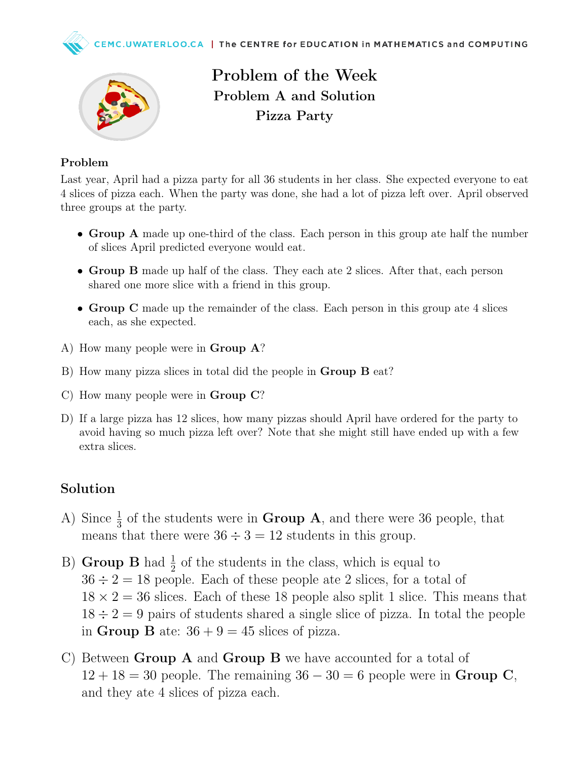



Problem of the Week Problem A and Solution Pizza Party

#### Problem

Last year, April had a pizza party for all 36 students in her class. She expected everyone to eat 4 slices of pizza each. When the party was done, she had a lot of pizza left over. April observed three groups at the party.

- Group A made up one-third of the class. Each person in this group ate half the number of slices April predicted everyone would eat.
- Group B made up half of the class. They each ate 2 slices. After that, each person shared one more slice with a friend in this group.
- Group C made up the remainder of the class. Each person in this group ate 4 slices each, as she expected.
- A) How many people were in Group A?
- B) How many pizza slices in total did the people in **Group B** eat?
- C) How many people were in Group C?
- D) If a large pizza has 12 slices, how many pizzas should April have ordered for the party to avoid having so much pizza left over? Note that she might still have ended up with a few extra slices.

#### Solution

- A) Since  $\frac{1}{3}$  of the students were in **Group A**, and there were 36 people, that means that there were  $36 \div 3 = 12$  students in this group.
- B) **Group B** had  $\frac{1}{2}$  of the students in the class, which is equal to  $36 \div 2 = 18$  people. Each of these people ate 2 slices, for a total of  $18 \times 2 = 36$  slices. Each of these 18 people also split 1 slice. This means that  $18 \div 2 = 9$  pairs of students shared a single slice of pizza. In total the people in Group B ate:  $36 + 9 = 45$  slices of pizza.
- C) Between Group A and Group B we have accounted for a total of  $12 + 18 = 30$  people. The remaining  $36 - 30 = 6$  people were in **Group C**, and they ate 4 slices of pizza each.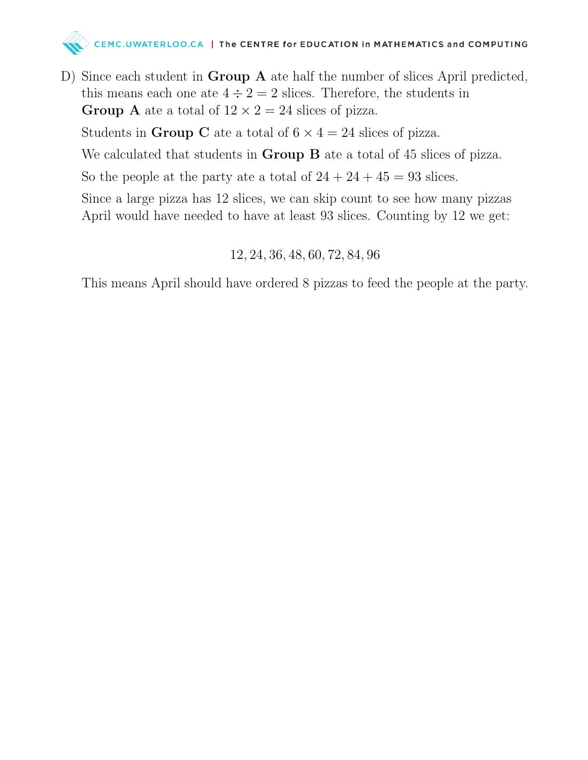CEMC.UWATERLOO.CA | The CENTRE for EDUCATION in MATHEMATICS and COMPUTING

D) Since each student in **Group A** ate half the number of slices April predicted, this means each one ate  $4 \div 2 = 2$  slices. Therefore, the students in **Group A** ate a total of  $12 \times 2 = 24$  slices of pizza.

Students in **Group C** ate a total of  $6 \times 4 = 24$  slices of pizza.

We calculated that students in **Group B** ate a total of 45 slices of pizza.

So the people at the party ate a total of  $24 + 24 + 45 = 93$  slices.

Since a large pizza has 12 slices, we can skip count to see how many pizzas April would have needed to have at least 93 slices. Counting by 12 we get:

## 12, 24, 36, 48, 60, 72, 84, 96

This means April should have ordered 8 pizzas to feed the people at the party.